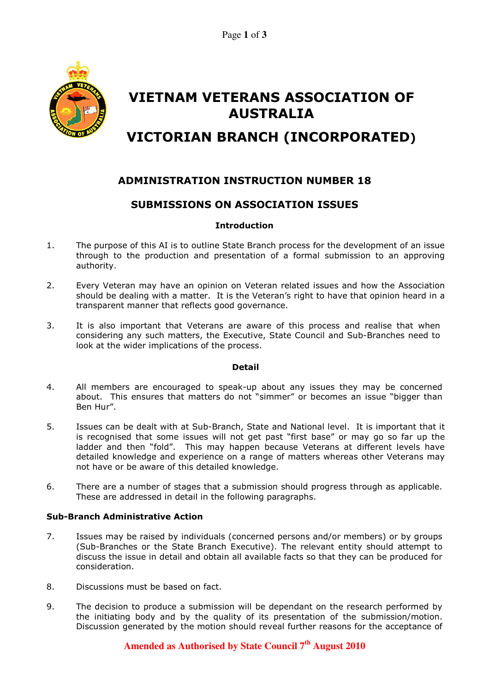

# VIETNAM VETERANS ASSOCIATION OF AUSTRALIA

## VICTORIAN BRANCH (INCORPORATED)

## ADMINISTRATION INSTRUCTION NUMBER 18

### SUBMISSIONS ON ASSOCIATION ISSUES

#### **Introduction**

- 1. The purpose of this AI is to outline State Branch process for the development of an issue through to the production and presentation of a formal submission to an approving authority.
- 2. Every Veteran may have an opinion on Veteran related issues and how the Association should be dealing with a matter. It is the Veteran's right to have that opinion heard in a transparent manner that reflects good governance.
- 3. It is also important that Veterans are aware of this process and realise that when considering any such matters, the Executive, State Council and Sub-Branches need to look at the wider implications of the process.

#### Detail

- 4. All members are encouraged to speak-up about any issues they may be concerned about. This ensures that matters do not "simmer" or becomes an issue "bigger than Ben Hur".
- 5. Issues can be dealt with at Sub-Branch, State and National level. It is important that it is recognised that some issues will not get past "first base" or may go so far up the ladder and then "fold". This may happen because Veterans at different levels have detailed knowledge and experience on a range of matters whereas other Veterans may not have or be aware of this detailed knowledge.
- 6. There are a number of stages that a submission should progress through as applicable. These are addressed in detail in the following paragraphs.

#### Sub-Branch Administrative Action

- 7. Issues may be raised by individuals (concerned persons and/or members) or by groups (Sub-Branches or the State Branch Executive). The relevant entity should attempt to discuss the issue in detail and obtain all available facts so that they can be produced for consideration.
- 8. Discussions must be based on fact.
- 9. The decision to produce a submission will be dependant on the research performed by the initiating body and by the quality of its presentation of the submission/motion. Discussion generated by the motion should reveal further reasons for the acceptance of

## **Amended as Authorised by State Council 7th August 2010**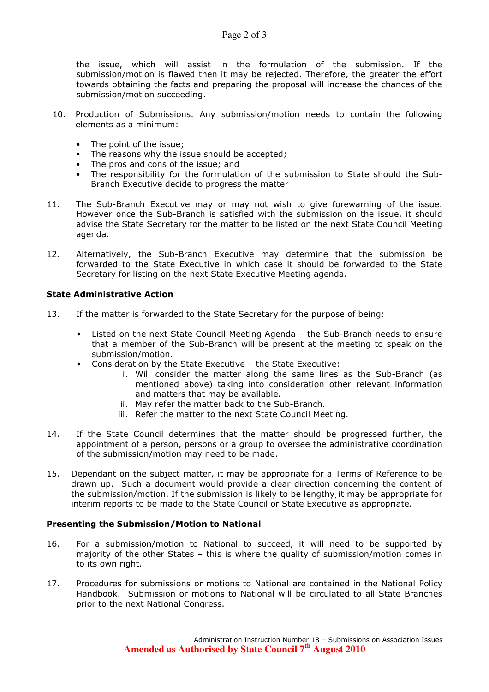the issue, which will assist in the formulation of the submission. If the submission/motion is flawed then it may be rejected. Therefore, the greater the effort towards obtaining the facts and preparing the proposal will increase the chances of the submission/motion succeeding.

- 10. Production of Submissions. Any submission/motion needs to contain the following elements as a minimum:
	- The point of the issue;
	- The reasons why the issue should be accepted:
	- The pros and cons of the issue; and
	- The responsibility for the formulation of the submission to State should the Sub-Branch Executive decide to progress the matter
- 11. The Sub-Branch Executive may or may not wish to give forewarning of the issue. However once the Sub-Branch is satisfied with the submission on the issue, it should advise the State Secretary for the matter to be listed on the next State Council Meeting agenda.
- 12. Alternatively, the Sub-Branch Executive may determine that the submission be forwarded to the State Executive in which case it should be forwarded to the State Secretary for listing on the next State Executive Meeting agenda.

#### State Administrative Action

- 13. If the matter is forwarded to the State Secretary for the purpose of being:
	- Listed on the next State Council Meeting Agenda the Sub-Branch needs to ensure that a member of the Sub-Branch will be present at the meeting to speak on the submission/motion.
	- Consideration by the State Executive the State Executive:
		- i. Will consider the matter along the same lines as the Sub-Branch (as mentioned above) taking into consideration other relevant information and matters that may be available.
		- ii. May refer the matter back to the Sub-Branch.
		- iii. Refer the matter to the next State Council Meeting.
- 14. If the State Council determines that the matter should be progressed further, the appointment of a person, persons or a group to oversee the administrative coordination of the submission/motion may need to be made.
- 15. Dependant on the subject matter, it may be appropriate for a Terms of Reference to be drawn up. Such a document would provide a clear direction concerning the content of the submission/motion. If the submission is likely to be lengthy, it may be appropriate for interim reports to be made to the State Council or State Executive as appropriate.

#### Presenting the Submission/Motion to National

- 16. For a submission/motion to National to succeed, it will need to be supported by majority of the other States – this is where the quality of submission/motion comes in to its own right.
- 17. Procedures for submissions or motions to National are contained in the National Policy Handbook. Submission or motions to National will be circulated to all State Branches prior to the next National Congress.